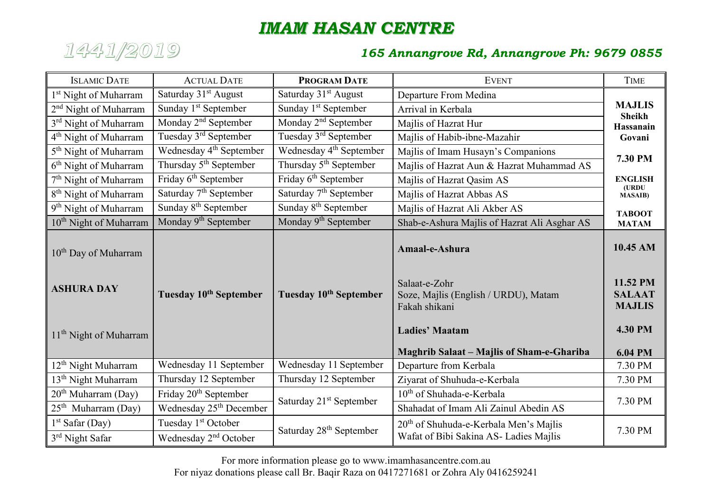## *IMAM HASAN CENTRE*



## *1441/2019 165 Annangrove Rd, Annangrove Ph: 9679 0855*

| <b>ISLAMIC DATE</b>                                                                         | <b>ACTUAL DATE</b>                  | <b>PROGRAM DATE</b>                 | <b>EVENT</b>                                                                                                      | <b>TIME</b>                                                              |
|---------------------------------------------------------------------------------------------|-------------------------------------|-------------------------------------|-------------------------------------------------------------------------------------------------------------------|--------------------------------------------------------------------------|
| 1 <sup>st</sup> Night of Muharram                                                           | Saturday 31 <sup>st</sup> August    | Saturday 31 <sup>st</sup> August    | Departure From Medina                                                                                             |                                                                          |
| 2 <sup>nd</sup> Night of Muharram                                                           | Sunday 1 <sup>st</sup> September    | Sunday 1 <sup>st</sup> September    | Arrival in Kerbala                                                                                                | <b>MAJLIS</b>                                                            |
| 3 <sup>rd</sup> Night of Muharram                                                           | Monday $2nd$ September              | Monday $2nd$ September              | Majlis of Hazrat Hur                                                                                              | <b>Sheikh</b><br><b>Hassanain</b>                                        |
| 4 <sup>th</sup> Night of Muharram                                                           | Tuesday 3 <sup>rd</sup> September   | Tuesday 3 <sup>rd</sup> September   | Majlis of Habib-ibne-Mazahir                                                                                      | Govani                                                                   |
| 5 <sup>th</sup> Night of Muharram                                                           | Wednesday 4 <sup>th</sup> September | Wednesday 4 <sup>th</sup> September | Majlis of Imam Husayn's Companions                                                                                | 7.30 PM                                                                  |
| 6 <sup>th</sup> Night of Muharram                                                           | Thursday 5 <sup>th</sup> September  | Thursday 5 <sup>th</sup> September  | Majlis of Hazrat Aun & Hazrat Muhammad AS                                                                         |                                                                          |
| 7 <sup>th</sup> Night of Muharram                                                           | Friday 6 <sup>th</sup> September    | Friday 6 <sup>th</sup> September    | Majlis of Hazrat Qasim AS                                                                                         | <b>ENGLISH</b>                                                           |
| 8 <sup>th</sup> Night of Muharram                                                           | Saturday 7 <sup>th</sup> September  | Saturday 7 <sup>th</sup> September  | Majlis of Hazrat Abbas AS                                                                                         | (URDU<br><b>MASAIB</b> )                                                 |
| 9 <sup>th</sup> Night of Muharram                                                           | Sunday 8 <sup>th</sup> September    | Sunday 8 <sup>th</sup> September    | Majlis of Hazrat Ali Akber AS                                                                                     | <b>TABOOT</b>                                                            |
| 10 <sup>th</sup> Night of Muharram                                                          | Monday 9 <sup>th</sup> September    | Monday 9 <sup>th</sup> September    | Shab-e-Ashura Majlis of Hazrat Ali Asghar AS                                                                      | <b>MATAM</b>                                                             |
| 10 <sup>th</sup> Day of Muharram<br><b>ASHURA DAY</b><br>11 <sup>th</sup> Night of Muharram | Tuesday 10 <sup>th</sup> September  | Tuesday 10 <sup>th</sup> September  | Amaal-e-Ashura<br>Salaat-e-Zohr<br>Soze, Majlis (English / URDU), Matam<br>Fakah shikani<br><b>Ladies' Maatam</b> | 10.45 AM<br>11.52 PM<br><b>SALAAT</b><br><b>MAJLIS</b><br><b>4.30 PM</b> |
|                                                                                             |                                     |                                     | <b>Maghrib Salaat – Majlis of Sham-e-Ghariba</b>                                                                  | <b>6.04 PM</b>                                                           |
| 12 <sup>th</sup> Night Muharram                                                             | Wednesday 11 September              | Wednesday 11 September              | Departure from Kerbala                                                                                            | 7.30 PM                                                                  |
| 13 <sup>th</sup> Night Muharram                                                             | Thursday 12 September               | Thursday 12 September               | Ziyarat of Shuhuda-e-Kerbala                                                                                      | 7.30 PM                                                                  |
| $20th$ Muharram (Day)                                                                       | Friday 20 <sup>th</sup> September   | Saturday 21 <sup>st</sup> September | 10 <sup>th</sup> of Shuhada-e-Kerbala                                                                             | 7.30 PM                                                                  |
| $25th$ Muharram (Day)                                                                       | Wednesday 25 <sup>th</sup> December |                                     | Shahadat of Imam Ali Zainul Abedin AS                                                                             |                                                                          |
| $1st$ Safar (Day)                                                                           | Tuesday 1 <sup>st</sup> October     | Saturday 28 <sup>th</sup> September | $20th$ of Shuhuda-e-Kerbala Men's Majlis<br>Wafat of Bibi Sakina AS- Ladies Majlis                                | 7.30 PM                                                                  |
| 3 <sup>rd</sup> Night Safar                                                                 | Wednesday 2 <sup>nd</sup> October   |                                     |                                                                                                                   |                                                                          |

For more information please go to www.imamhasancentre.com.au For niyaz donations please call Br. Baqir Raza on 0417271681 or Zohra Aly 0416259241